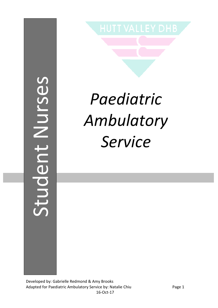# Student Nursesstudent Nurses

# *Paediatric Ambulatory Service*

Developed by: Gabrielle Redmond & Amy Brooks Adapted for Paediatric Ambulatory Service by: Natalie Chiu Page 1 16-Oct-17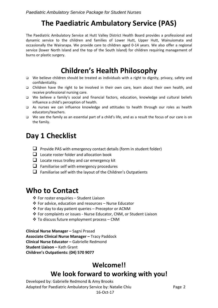### **The Paediatric Ambulatory Service (PAS)**

The Paediatric Ambulatory Service at Hutt Valley District Health Board provides a professional and dynamic service to the children and families of Lower Hutt, Upper Hutt, Wainuiomata and occasionally the Wairarapa. We provide care to children aged 0-14 years. We also offer a regional service (lower North Island and the top of the South Island) for children requiring management of burns or plastic surgery.

### **Children's Health Philosophy**

- We believe children should be treated as individuals with a right to dignity, privacy, safety and confidentiality.
- Children have the right to be involved in their own care, learn about their own health, and receive professional nursing care.
- We believe a family's social and financial factors, education, knowledge and cultural beliefs influence a child's perception of health.
- As nurses we can influence knowledge and attitudes to health through our roles as health educators/teachers.
- We see the family as an essential part of a child's life, and as a result the focus of our care is on the family.

#### **Day 1 Checklist**

- $\Box$  Provide PAS with emergency contact details (form in student folder)
- $\Box$  Locate roster folder and allocation book
- $\Box$  Locate resus trolley and car emergency kit
- $\Box$  Familiarise self with emergency procedures
- $\Box$  Familiarise self with the layout of the Children's Outpatients

#### **Who to Contact**

- For roster enquiries Student Liaison
- For advice, education and resources Nurse Educator
- For day to day patient queries Preceptor or ACNM
- For complaints or issues Nurse Educator, CNM, or Student Liaison
- To discuss future employment process CNM

**Clinical Nurse Manager –** Sagni Prasad **Associate Clinical Nurse Manager –** Tracy Paddock **Clinical Nurse Educator –** Gabrielle Redmond **Student Liaison –** Kath Grant **Children's Outpatients: (04) 570 9077**

#### **Welcome!! We look forward to working with you!**

Developed by: Gabrielle Redmond & Amy Brooks Adapted for Paediatric Ambulatory Service by: Natalie Chiu Page 2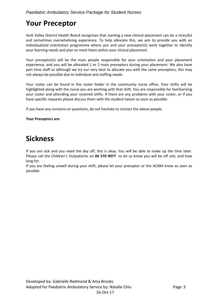# **Your Preceptor**

Hutt Valley District Health Board recognises that starting a new clinical placement can be a stressful and sometimes overwhelming experience. To help alleviate this, we aim to provide you with an individualized orientation programme where you and your preceptor(s) work together to identify your learning needs and plan to meet them within your clinical placement.

Your preceptor(s) will be the main people responsible for your orientation and your placement experience, and you will be allocated 1 or 2 main preceptors during your placement. We also have part time staff so although we try our very best to allocate you with the same preceptors, this may not always be possible due to individual and staffing needs.

Your roster can be found in the roster folder in the community nurse office. Your shifts will be highlighted along with the nurse you are working with that shift. You are responsible for familiarizing your roster and attending your rostered shifts. If there are any problems with your roster, or if you have specific requests please discuss them with the student liaison as soon as possible.

If you have any concerns or questions, do not hesitate to contact the above people.

#### **Your Preceptors are:**

#### **Sickness**

If you are sick and you need the day off, this is okay. You will be able to make up the time later. Please call the Children's Outpatients on **04 570 9077** to let us know you will be off sick, and how long for.

If you are feeling unwell during your shift, please let your preceptor or the ACNM know as soon as possible.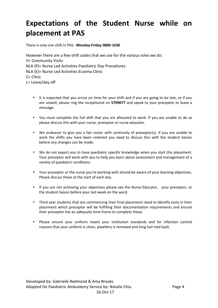# **Expectations of the Student Nurse while on placement at PAS**

There is only one shift in PAS: **Monday-Friday 0800-1630** 

However there are a few shift codes that we use for the various roles we do: V= Community Visits NLA (P)= Nurse Led Activities Paediatric Day Procedures NLA (E)= Nurse Led Activities Eczema Clinic C= Clinic L= Leave/day off

- It is expected that you arrive on time for your shift and if you are going to be late, or if you are unwell, please ring the receptionist on **5709077** and speak to your preceptor or leave a message.
- You must complete the full shift that you are allocated to work. If you are unable to do so please discuss this with your nurse, preceptor or nurse educator.
- We endeavor to give you a fair roster with continuity of preceptor(s). If you are unable to work the shifts you have been rostered you need to discuss this with the student liaison before any changes can be made.
- We do not expect you to have paediatric specific knowledge when you start this placement. Your preceptor will work with you to help you learn about assessment and management of a variety of paediatric conditions.
- Your preceptor or the nurse you're working with should be aware of your learning objectives. Please discuss these at the start of each day.
- If you are not achieving your objectives please see the Nurse Educator, your preceptor, or the student liaison before your last week on the ward.
- Third year students that are commencing their final placement need to identify early in their placement which preceptor will be fulfilling their documentation requirements and ensure their preceptor has an adequate time frame to complete these.
- Please ensure your uniform meets your institution standards and for infection control reasons that your uniform is clean, jewellery is removed and long hair tied back.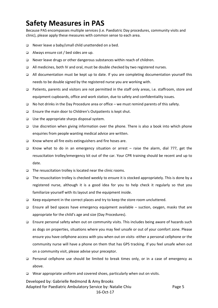### **Safety Measures in PAS**

Because PAS encompasses multiple services (i.e. Paediatric Day procedures, community visits and clinic), please apply these measures with common sense to each area.

- □ Never leave a baby/small child unattended on a bed.
- Always ensure cot / bed sides are up.
- Never leave drugs or other dangerous substances within reach of children.
- All medicines, both IV and oral, must be double checked by two registered nurses.
- $\Box$  All documentation must be kept up to date. If you are completing documentation yourself this needs to be double signed by the registered nurse you are working with.
- Patients, parents and visitors are not permitted in the staff only areas, i.e. staffroom, store and equipment cupboards, office and work station, due to safety and confidentiality issues.
- No hot drinks in the Day Procedure area or office we must remind parents of this safety.
- □ Ensure the main door to Children's Outpatients is kept shut.
- $\Box$  Use the appropriate sharps disposal system.
- Use discretion when giving information over the phone. There is also a book into which phone enquiries from people wanting medical advice are written.
- □ Know where all fire exits extinguishers and fire hoses are.
- Know what to do in an emergency situation or arrest raise the alarm, dial 777, get the resuscitation trolley/emergency kit out of the car. Your CPR training should be recent and up to date.
- $\Box$  The resuscitation trolley is located near the clinic rooms.
- $\Box$  The resuscitation trolley is checked weekly to ensure it is stocked appropriately. This is done by a registered nurse, although it is a good idea for you to help check it regularly so that you familiarize yourself with its layout and the equipment inside.
- Keep equipment in the correct places and try to keep the store room uncluttered.
- **Ensure all bed spaces have emergency equipment available suction, oxygen, masks that are** appropriate for the child's age and size (Day Procedures).
- □ Ensure personal safety when out on community visits. This includes being aware of hazards such as dogs on properties, situations where you may feel unsafe or out of your comfort zone. Please ensure you have cellphone access with you when out on visits- either a personal cellphone or the community nurse will have a phone on them that has GPS tracking. If you feel unsafe when out on a community visit, please advise your preceptor.
- Personal cellphone use should be limited to break times only, or in a case of emergency as above.
- □ Wear appropriate uniform and covered shoes, particularly when out on visits.

Developed by: Gabrielle Redmond & Amy Brooks Adapted for Paediatric Ambulatory Service by: Natalie Chiu Page 5 16-Oct-17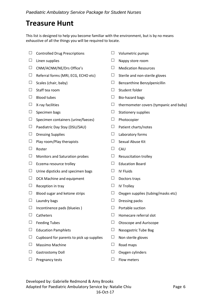#### **Treasure Hunt**

This list is designed to help you become familiar with the environment, but is by no means exhaustive of all the things you will be required to locate.

- $\Box$  Controlled Drug Prescriptions  $\Box$  Volumetric pumps
- 
- $\square$  CNM/ACNM/NE/Drs Office's  $\square$  Medication Resources
- $\Box$  Referral forms (MRI, ECG, ECHO etc)  $\Box$  Sterile and non-sterile gloves
- 
- $\Box$  Staff tea room  $\Box$  Student folder
- 
- 
- 
- $\Box$  Specimen containers (urine/faeces)  $\Box$  Photocopier
- $\Box$  Paediatric Day Stay (DSU/SAU)  $\Box$  Patient charts/notes
- $\Box$  Dressing Supplies  $\Box$  Laboratory forms
- $\Box$  Play room/Play therapists  $\Box$  Sexual Abuse Kit
- $\Box$  Roster  $\Box$  CAU
- $\Box$  Monitors and Saturation probes  $\Box$  Resuscitation trolley
- $\Box$  Eczema resource trolley  $\Box$  Education Board
- $\Box$  Urine dipsticks and specimen bags  $\Box$  IV Fluids
- $\Box$  DCA Machine and equipment  $\Box$  Doctors trays
- $\Box$  Reception in tray  $\Box$  IV Trolley
- 
- 
- $\Box$  Incontinence pads (blueies )  $\Box$  Portable suction
- 
- 
- $\Box$  Education Pamphlets  $\Box$  Nasogastric Tube Bag
- $\Box$  Cupboard for parents to pick up supplies  $\Box$  Non sterile gloves
- $\Box$  Massimo Machine  $\Box$  Road maps
- $\Box$  Gastrostomy Doll  $\Box$  Oxygen cylinders
- $\Box$  Pregnancy tests  $\Box$  Flow meters
- 
- $\Box$  Linen supplies  $\Box$  Nappy store room
	-
	-
- $\Box$  Scales (chair, baby)  $\Box$  Benzanthine Benzylpenicillin
	-
- $\Box$  Blood tubes  $\Box$  Bio-hazard bags
- $\Box$  X-ray facilities  $\Box$  X-ray facilities
- $\Box$  Specimen bags  $\Box$  Stationery supplies
	-
	-
	-
	-
	-
	-
	-
	-
	-
	-
- $\Box$  Blood sugar and ketone strips  $\Box$  Oxygen supplies (tubing/masks etc)
- $\Box$  Laundry bags  $\Box$  Dressing packs
	-
- $\Box$  Catheters  $\Box$  Homecare referral slot
- $\Box$  Feeding Tubes  $\Box$  Otoscope and Auriscope
	-
	-
	-
	-
	-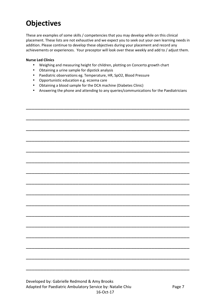### **Objectives**

These are examples of some skills / competencies that you may develop while on this clinical placement. These lists are not exhaustive and we expect you to seek out your own learning needs in addition. Please continue to develop these objectives during your placement and record any achievements or experiences. Your preceptor will look over these weekly and add to / adjust them.

#### **Nurse Led Clinics**

- Weighing and measuring height for children, plotting on Concerto growth chart
- Obtaining a urine sample for dipstick analysis
- Paediatric observations eg. Temperature, HR, SpO2, Blood Pressure
- Opportunistic education e.g. eczema care
- Obtaining a blood sample for the DCA machine (Diabetes Clinic)
- Answering the phone and attending to any queries/communications for the Paediatricians

\_\_\_\_\_\_\_\_\_\_\_\_\_\_\_\_\_\_\_\_\_\_\_\_\_\_\_\_\_\_\_\_\_\_\_\_\_\_\_\_\_\_\_\_\_\_\_\_\_\_\_\_\_\_\_\_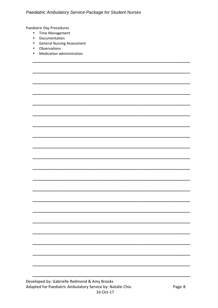Paediatric Day Procedures

- Time Management
- Documentation
- General Nursing Assessment
- Observations
- Medication administration

Developed by: Gabrielle Redmond & Amy Brooks Adapted for Paediatric Ambulatory Service by: Natalie Chiu 16-Oct-17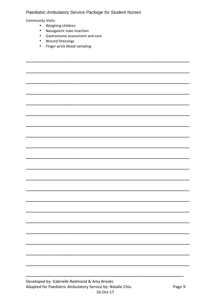#### Paediatric Ambulatory Service Package for Student Nurses

**Community Visits:** 

- Weighing children
- Nasogastric tube insertion
- Gastrostomy assessment and care
- Wound Dressings
- Finger-prick blood sampling

Developed by: Gabrielle Redmond & Amy Brooks Adapted for Paediatric Ambulatory Service by: Natalie Chiu 16-Oct-17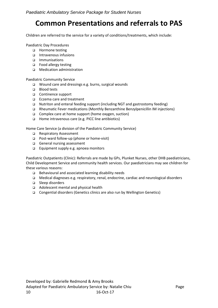#### **Common Presentations and referrals to PAS**

Children are referred to the service for a variety of conditions/treatments, which include:

Paediatric Day Procedures

- □ Hormone testing
- Intravenous infusions
- Immunisations
- □ Food allergy testing
- Medication administration

Paediatric Community Service

- Wound care and dressings e.g. burns, surgical wounds
- □ Blood tests
- □ Continence support
- □ Eczema care and treatment
- Nutriton and enteral feeding support (including NGT and gastrostomy feeding)
- Rheumatic Fever medications (Monthly Benzanthine Benzylpenicillin IM injections)
- Complex care at home support (home oxygen, suction)
- Home intravenous care (e.g. PICC line antibiotics)

Home Care Service (a division of the Paediatric Community Service)

- □ Respiratory Assessment
- Post-ward follow-up (phone or home-visit)
- General nursing assessment
- □ Equipment supply e.g. apnoea monitors

Paediatric Outpatients (Clinic): Referrals are made by GPs, Plunket Nurses, other DHB paediatricians, Child Development Service and community health services. Our paediatricians may see children for these various reasons:

- Behavioural and associated learning disability needs
- Medical diagnoses e.g. respiratory, renal, endocrine, cardiac and neurological disorders
- □ Sleep disorders
- □ Adolescent mental and physical health
- Congential disorders (Genetics clinics are also run by Wellington Genetics)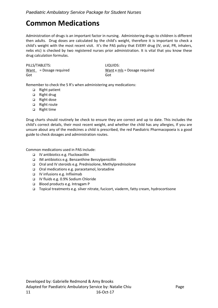#### **Common Medications**

Administration of drugs is an important factor in nursing. Administering drugs to children is different then adults. Drug doses are calculated by the child's weight, therefore it is important to check a child's weight with the most recent visit. It's the PAS policy that EVERY drug (IV, oral, PR, inhalers, nebs etc) is checked by two registered nurses prior administration. It is vital that you know these drug calculation formulas.

PILLS/TABLETS: LIQUIDS: Got Got

 $Want$  = Dosage required Want x mls = Dosage required

Remember to check the 5 R's when administering any medications:

- □ Right patient
- □ Right drug
- □ Right dose
- □ Right route
- □ Right time

Drug charts should routinely be check to ensure they are correct and up to date. This includes the child's correct details, their most recent weight, and whether the child has any allergies, If you are unsure about any of the medicines a child is prescribed, the red Paediatric Pharmacopoeia is a good guide to check dosages and administration routes.

Common medications used in PAS include:

- IV antibiotics e.g. Flucloxacillin
- IM antibiotics e.g. Benzanthine Benzylpenicillin
- Oral and IV steroids e.g. Prednisolone, Methylprednisolone
- Oral medications e.g. paracetamol, loratadine
- IV infusions e.g. Infliximab
- IV fluids e.g. 0.9% Sodium Chloride
- Blood products e.g. Intragam P
- Topical treatments e.g. silver nitrate, fucicort, viaderm, fatty cream, hydrocortisone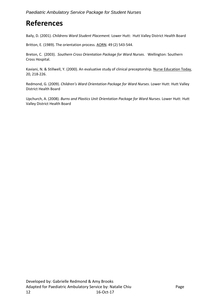# **References**

Baily, D. (2001). *Childrens Ward Student Placement.* Lower Hutt: Hutt Valley District Health Board

Britton, E. (1989). The orientation process. AORN. 49 (2) 543-544.

Breton, C. (2003). *Southern Cross Orientation Package for Ward Nurses*. Wellington: Southern Cross Hospital.

Kaviani, N. & Stillwell, Y. (2000). An evaluative study of clinical preceptorship. Nurse Education Today, 20, 218-226.

Redmond, G. (2009). *Children's Ward Orientation Package for Ward Nurses*. Lower Hutt: Hutt Valley District Health Board

Upchurch, A. (2008). *Burns and Plastics Unit Orientation Package for Ward Nurses*. Lower Hutt: Hutt Valley District Health Board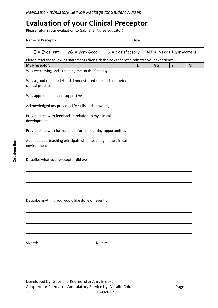#### **Evaluation of your Clinical Preceptor**

Please return your evaluation to Gabrielle (Nurse Educator)

|  | Name of Preceptor |  |  |  |
|--|-------------------|--|--|--|
|--|-------------------|--|--|--|

Name of Preceptor\_\_\_\_\_\_\_\_\_\_\_\_\_\_\_\_\_\_\_\_\_\_\_\_\_\_\_\_\_\_\_\_\_\_\_\_\_ Date\_\_\_\_\_\_\_\_\_\_

**E =** Excellent **VG =** Very Good **S =** Satisfactory **NI =** Needs Improvement

| Please read the following statements then tick the box that best indicates your experience |   |    |   |           |  |  |  |
|--------------------------------------------------------------------------------------------|---|----|---|-----------|--|--|--|
| <b>My Preceptor:</b>                                                                       | E | VG | S | <b>NI</b> |  |  |  |
| Was welcoming and expecting me on the first day                                            |   |    |   |           |  |  |  |
| Was a good role model and demonstrated safe and competent<br>clinical practice             |   |    |   |           |  |  |  |
| Was approachable and supportive                                                            |   |    |   |           |  |  |  |
| Acknowledged my previous life skills and knowledge                                         |   |    |   |           |  |  |  |
| Provided me with feedback in relation to my clinical<br>development                        |   |    |   |           |  |  |  |
| Provided me with formal and informal learning opportunities                                |   |    |   |           |  |  |  |
| Applied adult teaching principals when teaching in the clinical<br>environment             |   |    |   |           |  |  |  |

Describe what your preceptor did well

Describe anything you would like done differently

Signed:\_\_\_\_\_\_\_\_\_\_\_\_\_\_\_\_\_\_\_\_\_\_\_\_\_\_\_\_ Name:\_\_\_\_\_\_\_\_\_\_\_\_\_\_\_\_\_\_\_\_\_\_\_\_\_\_

Developed by: Gabrielle Redmond & Amy Brooks Adapted for Paediatric Ambulatory Service by: Natalie Chiu Page 13 16-Oct-17